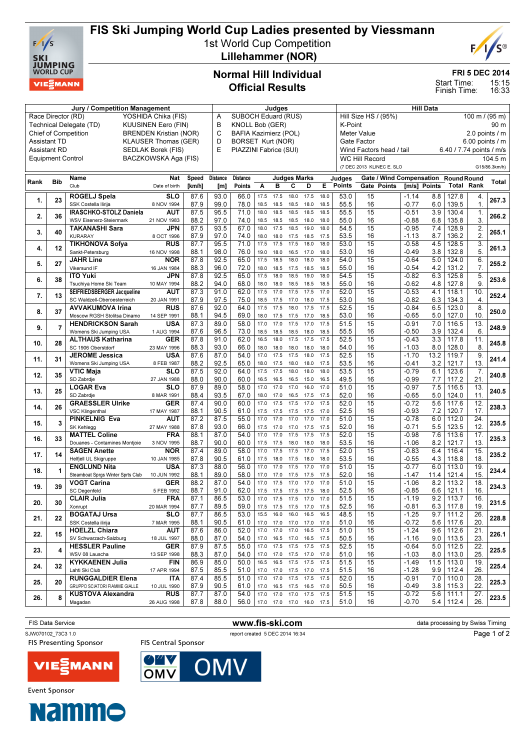

## FIS Ski Jumping World Cup Ladies presented by Viessmann

1st World Cup Competition Lillehammer (NOR)



FRI 5 DEC 2014

15:15 16:33 Start Time: Finish Time:

## Normal Hill Individual Official Results

| <b>Jury / Competition Management</b>               |                          |                                                      |                               |              | Judges                                           |                        |                   |              |                          |              |                                                       | <b>Hill Data</b>                      |                           |                    |            |                          |                  |               |
|----------------------------------------------------|--------------------------|------------------------------------------------------|-------------------------------|--------------|--------------------------------------------------|------------------------|-------------------|--------------|--------------------------|--------------|-------------------------------------------------------|---------------------------------------|---------------------------|--------------------|------------|--------------------------|------------------|---------------|
| Race Director (RD)<br>YOSHIDA Chika (FIS)          |                          |                                                      |                               |              | SUBOCH Eduard (RUS)<br>A<br>B<br>KNOLL Bob (GER) |                        |                   |              |                          |              | Hill Size HS / (95%)<br>100 m $\sqrt{(95 \text{ m})}$ |                                       |                           |                    |            |                          |                  |               |
|                                                    |                          | Technical Delegate (TD)                              | <b>KUUSINEN Eero (FIN)</b>    |              | C<br>BAFIA Kazimierz (POL)                       |                        |                   |              |                          |              |                                                       | K-Point<br>90 m                       |                           |                    |            |                          |                  |               |
|                                                    |                          | <b>Chief of Competition</b>                          | <b>BRENDEN Kristian (NOR)</b> |              | D<br>BORSET Kurt (NOR)                           |                        |                   |              |                          |              |                                                       | Meter Value<br>2.0 points $\sqrt{}$ m |                           |                    |            |                          |                  |               |
| <b>KLAUSER Thomas (GER)</b><br><b>Assistant TD</b> |                          |                                                      |                               |              |                                                  |                        |                   |              |                          |              | Gate Factor<br>6.00 points / m                        |                                       |                           |                    |            |                          |                  |               |
|                                                    | <b>Assistant RD</b>      |                                                      | SEDLAK Borek (FIS)            |              | E                                                | PIAZZINI Fabrice (SUI) |                   |              |                          |              |                                                       |                                       | Wind Factors head / tail  |                    |            | 6.40 / 7.74 points / m/s |                  |               |
|                                                    | <b>Equipment Control</b> |                                                      | BACZKOWSKA Aga (FIS)          |              |                                                  |                        |                   |              |                          |              |                                                       |                                       | <b>WC Hill Record</b>     |                    |            |                          |                  | 104.5 m       |
|                                                    |                          |                                                      |                               |              |                                                  |                        |                   |              |                          |              |                                                       |                                       | (7 DEC 2013 KLINEC E. SLO |                    |            |                          |                  | G15/86.3km/h) |
|                                                    |                          | Name                                                 | Nat                           | Speed        | <b>Distance</b>                                  | <b>Distance</b>        |                   |              | <b>Judges Marks</b>      |              |                                                       | Judges                                | Gate / Wind Compensation  |                    |            | <b>Round Round</b>       |                  |               |
| Rank                                               | <b>Bib</b>               | Club                                                 | Date of birth                 | [km/h]       | [m]                                              | Points                 | A                 | B            | c                        | D            | Е                                                     | Points                                | Gate Points               | [m/s] Points       |            | <b>Total Rank</b>        |                  | Total         |
|                                                    |                          | ROGELJ Spela                                         | <b>SLO</b>                    | 87.6         | 93.0                                             | 66.0                   | 17.5              | 17.5         | 18.0                     | 17.5         | 18.0                                                  | 53.0                                  | 15                        | $-1.14$            | 8.8        | 127.8                    | 4.               |               |
| 1.                                                 | 23                       | SSK Costella Ilirija                                 | 8 NOV 1994                    | 87.9         | 99.0                                             | 78.0                   | 18.5              | 18.5         | 18.5                     | 18.0         | 18.5                                                  | 55.5                                  | 16                        | $-0.77$            | 6.0        | 139.5                    | $\mathbf{1}$ .   | 267.3         |
|                                                    |                          | IRASCHKO-STOLZ Daniela                               | AUT                           | 87.5         | 95.5                                             | 71.0                   | 18.0              | 18.5         | 18.5                     | 18.5         | 18.5                                                  | 55.5                                  | 15                        | $-0.51$            | 3.9        | 130.4                    | $\overline{1}$ . |               |
| 2.                                                 | 36                       | WSV Eisenerz-Steiermark                              | 21 NOV 1983                   | 88.2         | 97.0                                             | 74.0                   | 18.5              | 18.5         | 18.5                     | 18.0         | 18.0                                                  | 55.0                                  | 16                        | -0.88              | 6.8        | 135.8                    | 3.               | 266.2         |
| 3.                                                 | 40                       | <b>TAKANASHI Sara</b>                                | JPN                           | 87.5         | 93.5                                             | 67.0                   | 18.0              | 17.5         | 18.5                     | 19.0         | 18.0                                                  | 54.5                                  | 15                        | $-0.95$            | 7.4        | 128.9                    | $\overline{2}$ . | 265.1         |
|                                                    |                          | <b>KURARAY</b>                                       | 8 OCT 1996                    | 87.9         | 97.0                                             | 74.0                   | 18.0              | 18.0         | 17.5                     | 18.5         | 17.5                                                  | 53.5                                  | 16                        | $-1.13$            | 8.7        | 136.2                    | 2.               |               |
| 4.                                                 | 12                       | <b>TIKHONOVA Sofya</b>                               | <b>RUS</b>                    | 87.7         | 95.5                                             | 71.0                   | 17.5              | 17.5         | 17.5                     | 18.0         | 18.0                                                  | 53.0                                  | $\overline{15}$           | $-0.58$            | 4.5        | 128.5                    | $\overline{3}$ . | 261.3         |
|                                                    |                          | Sankt-Petersburg                                     | 16 NOV 1998                   | 88.1         | 98.0                                             | 76.0                   | 19.0              | 18.0         | 16.5                     | 17.0         | 18.0                                                  | 53.0                                  | 16                        | -0.49              | 3.8        | 132.8                    | 5.               |               |
| 5.                                                 | 27                       | <b>JAHR Line</b>                                     | <b>NOR</b>                    | 87.8         | 92.5                                             | 65.0                   | 17.5              | 18.5         | 18.0                     | 18.0         | 18.0                                                  | 54.0                                  | 15                        | $-0.64$            | 5.0        | 124.0                    | 6.               | 255.2         |
|                                                    |                          | Vikersund IF                                         | 16 JAN 1984                   | 88.3         | 96.0                                             | 72.0                   | 18.0              | 18.5         | 17.5                     | 18.5         | 18.5                                                  | 55.0                                  | 16                        | $-0.54$            | 4.2        | 131.2                    | 7.               |               |
| 6.                                                 | 38                       | <b>ITO Yuki</b>                                      | JPN                           | 87.8         | 92.5                                             | 65.0                   | 17.5              | 18.0         | 18.5                     | 19.0         | 18.0                                                  | 54.5                                  | 15<br>16                  | $-0.82$            | 6.3        | 125.8                    | 5.<br>9.         | 253.6         |
|                                                    |                          | Tsuchiya Home Ski Team<br>SEIFRIEDSBERGER Jacqueline | 10 MAY 1994<br>AUT            | 88.2<br>87.3 | 94.0<br>91.0                                     | 68.0<br>62.0           | 18.0<br>17.5      | 18.0<br>17.0 | 18.5<br>17.5             | 18.5<br>17.5 | 18.5<br>17.0                                          | 55.0<br>52.0                          | 15                        | $-0.62$<br>$-0.53$ | 4.8<br>4.1 | 127.8<br>118.1           | 10.              |               |
| 7.                                                 | 13                       | SC Waldzell-Oberoesterreich                          | 20 JAN 1991                   | 87.9         | 97.5                                             | 75.0                   | 18.5              | 17.5         | 17.0                     | 18.0         | 17.5                                                  | 53.0                                  | 16                        | $-0.82$            | 6.3        | 134.3                    | $\overline{4}$   | 252.4         |
|                                                    |                          | <b>AVVAKUMOVA Irina</b>                              | <b>RUS</b>                    | 87.6         | 92.0                                             | 64.0                   | 17.5              | 17.5         | 18.0                     | 17.5         | 17.5                                                  | 52.5                                  | 15                        | $-0.84$            | 6.5        | 123.0                    | 8                |               |
| 8.                                                 | 37                       | Moscow RGSH Stolitsa Dinamo                          | 14 SEP 1991                   | 88.1         | 94.5                                             | 69.0                   | 18.0              | 17.5         | 17.5                     | 17.0         | 18.5                                                  | 53.0                                  | 16                        | $-0.65$            | 5.0        | 127.0                    | 10.              | 250.0         |
|                                                    |                          | <b>HENDRICKSON Sarah</b>                             | USA                           | 87.3         | 89.0                                             | 58.0                   | 17.0              | 17.0         | 17.5                     | 17.0         | 17.5                                                  | 51.5                                  | 15                        | $-0.91$            | 7.0        | 116.5                    | 13.              |               |
| 9.                                                 | $\overline{7}$           | Womens Ski Jumping USA                               | 1 AUG 1994                    | 87.6         | 96.5                                             | 73.0                   | 18.5              | 18.5         | 18.5                     | 18.0         | 18.5                                                  | 55.5                                  | 16                        | $-0.50$            | 3.9        | 132.4                    | 6                | 248.9         |
|                                                    |                          | <b>ALTHAUS Katharina</b>                             | GER                           | 87.8         | 91.0                                             | 62.0                   | 16.5              | 18.0         | 17.5                     | 17.5         | 17.5                                                  | 52.5                                  | 15                        | $-0.43$            | 3.3        | 117.8                    | 11.              |               |
| 10.                                                | 28                       | SC 1906 Oberstdorf                                   | 23 MAY 1996                   | 88.3         | 93.0                                             | 66.0                   | 18.0              | 18.0         | 18.0                     | 18.0         | 18.0                                                  | 54.0                                  | 16                        | $-1.03$            | 8.0        | 128.0                    | 8.               | 245.8         |
| 11.                                                | 31                       | <b>JEROME Jessica</b>                                | <b>USA</b>                    | 87.6         | 87.0                                             | 54.0                   | 17.0              | 17.5         | 17.5                     | 18.0         | 17.5                                                  | 52.5                                  | 15                        | $-1.70$            | 13.2       | 119.7                    | 9.               | 241.4         |
|                                                    |                          | Womens Ski Jumping USA                               | 8 FEB 1987                    | 88.2         | 92.5                                             | 65.0                   | 18.0              | 17.5         | 18.0                     | 18.0         | 17.5                                                  | 53.5                                  | 16                        | $-0.41$            | 3.2        | 121.7                    | 13.              |               |
| 12.                                                | 35                       | VTIC Maja                                            | SLO                           | 87.5         | 92.0                                             | 64.0                   | 17.5              | 17.5         | 18.0                     | 18.0         | 18.0                                                  | 53.5                                  | $\overline{15}$           | $-0.79$            | 6.1        | 123.6                    | 7.               | 240.8         |
|                                                    |                          | SD Zabrdje                                           | 27 JAN 1988                   | 88.0         | 90.0                                             | 60.0                   | 16.5              | 16.5         | 16.5                     | 15.0         | 16.5                                                  | 49.5                                  | 16                        | $-0.99$            | 7.7        | 117.2                    | 21.              |               |
| 13.                                                | 25                       | <b>LOGAR Eva</b>                                     | <b>SLO</b>                    | 87.9         | 89.0                                             | 58.0                   | 17.0              | 17.0         | 17.0                     | 16.0         | 17.0                                                  | 51.0                                  | $\overline{15}$           | $-0.97$            | 7.5        | 116.5                    | 13.              | 240.5         |
|                                                    |                          | SD Zabrdje                                           | 8 MAR 1991                    | 88.4         | 93.5                                             | 67.0                   | 18.0              | 17.0         | 16.5                     | 17.5         | 17.5                                                  | 52.0                                  | 16                        | $-0.65$            | 5.0        | 124.0                    | 11.              |               |
| 14.                                                | 26                       | <b>GRAESSLER Ulrike</b>                              | GER                           | 87.4         | 90.0                                             | 60.0                   | 17.0              | 17.5         | 17.5                     | 17.0         | 17.5                                                  | 52.0                                  | 15                        | $-0.72$            | 5.6        | 117.6                    | 12.              | 238.3         |
|                                                    |                          | <b>VSC Klingenthal</b><br><b>PINKELNIG Eva</b>       | 17 MAY 1987<br>AUT            | 88.1<br>87.2 | 90.5<br>87.5                                     | 61.0<br>55.0           | 17.5<br>17.0      | 17.5<br>17.0 | 17.5<br>17.0             | 17.5<br>17.0 | 17.0<br>17.0                                          | 52.5<br>51.0                          | 16<br>15                  | -0.93<br>$-0.78$   | 7.2<br>6.0 | 120.7<br>112.0           | 17.<br>24.       |               |
| 15.                                                | 3                        | SK Kehlegg                                           | 27 MAY 1988                   | 87.8         | 93.0                                             | 66.0                   | 17.5              | 17.0         | 17.0                     | 17.5         | 17.5                                                  | 52.0                                  | 16                        | $-0.71$            | 5.5        | 123.5                    | 12.              | 235.5         |
|                                                    |                          | <b>MATTEL Coline</b>                                 | FRA                           | 88.1         | 87.0                                             | 54.0                   | 17.0              | 17.0         | 17.5                     | 17.5         | 17.5                                                  | 52.0                                  | 15                        | $-0.98$            | 7.6        | 113.6                    | 17.              |               |
| 16.                                                | 33                       | Douanes - Contamines Montjoie                        | 3 NOV 1995                    | 88.7         | 90.0                                             | 60.0                   | 17.5              | 17.5         | 18.0                     | 18.0         | 18.0                                                  | 53.5                                  | 16                        | $-1.06$            | 8.2        | 121.7                    | 13.              | 235.3         |
|                                                    |                          | <b>SAGEN Anette</b>                                  | <b>NOR</b>                    | 87.4         | 89.0                                             | 58.0                   | 17.0              | 17.5         | 17.5                     | 17.0         | 17.5                                                  | 52.0                                  | 15                        | $-0.83$            | 6.4        | 116.4                    | 15.              |               |
| 17.                                                | 14                       | Helfjell UL Skigruppe                                | 10 JAN 1985                   | 87.8         | 90.5                                             | 61.0                   | 17.5              | 18.0         | 17.5                     | 18.0         | 18.0                                                  | 53.5                                  | 16                        | $-0.55$            | 4.3        | 118.8                    | 18               | 235.2         |
|                                                    |                          | <b>ENGLUND Nita</b>                                  | <b>USA</b>                    | 87.3         | 88.0                                             | 56.0                   | 17.0              | 17.0         | 17.5                     | 17.0         | 17.0                                                  | 51.0                                  | 15                        | $-0.77$            | 6.0        | 113.0                    | 19.              | 234.4         |
| 18.                                                | 1                        | Steamboat Sprgs Winter Sprts Club                    | 10 JUN 1992                   | 88.1         | 89.0                                             | 58.0                   | 17.0              | 17.0         | 17.5                     | 17.5         | 17.5                                                  | 52.0                                  | 16                        | $-1.47$            | 11.4       | 121.4                    | 15               |               |
| 19.                                                | 39                       | VOGT Carina                                          | <b>GER</b>                    | 88.2         | 87.0                                             | 54.0                   | 17.0              | 17.5         | 17.0                     | 17.0         | 17.0                                                  | 51.0                                  | 15                        | $-1.06$            | 8.2        | 113.2                    | 18.              | 234.3         |
|                                                    |                          | <b>SC Degenfeld</b>                                  | 5 FEB 1992                    | 88.7         | 91.0                                             | 62.0                   | 17.5              | 17.5         | 17.5                     | 17.5         | 18.0                                                  | 52.5                                  | 16                        | $-0.85$            | 6.6        | 121.1                    | 16.              |               |
| 20.                                                | 30                       | <b>CLAIR Julia</b>                                   | <b>FRA</b>                    | 87.1         | 86.5                                             | 53.0                   | 17.0              | 17.5         | 17.5                     | 17.0         | 17.0                                                  | 51.5                                  | 15                        | $-1.19$            | 9.2        | 113.7                    | 16.              | 231.5         |
|                                                    |                          | Xonrupt                                              | 20 MAR 1994                   | 87.7         | 89.5                                             | 59.0                   | 17.5              | 17.5         | 17.5 17.0                |              | 17.5                                                  | 52.5                                  | 16                        | -0.81              |            | $6.3$   117.8            | 19.              |               |
| 21.                                                | 22                       | <b>BOGATAJ Ursa</b>                                  | <b>SLO</b>                    | 87.7         | 86.5                                             | 53.0                   | 15.5              | 16.0         | 16.0                     | 16.5         | 16.5                                                  | 48.5                                  | 15                        | $-1.25$            | 9.7        | 111.2                    | 26.              | 228.8         |
|                                                    |                          | SSK Costella ilirija                                 | 7 MAR 1995                    | 88.1         | 90.5                                             | 61.0                   | 17.0              | 17.0         | 17.0                     | 17.0         | 17.0                                                  | 51.0                                  | 16                        | $-0.72$            | 5.6        | 117.6                    | 20.              |               |
| 22.                                                | 15                       | <b>HOELZL Chiara</b>                                 | <b>AUT</b><br>18 JUL 1997     | 87.6         | 86.0                                             | 52.0                   |                   | 17.0 17.0    | 17.0                     | 16.5 17.5    |                                                       | 51.0                                  | 15                        | $-1.24$            | 9.6        | 112.6                    | 21.              | 226.1         |
|                                                    |                          | SV Schwarzach-Salzburg<br><b>HESSLER Pauline</b>     | <b>GER</b>                    | 88.0<br>87.9 | 87.0<br>87.5                                     | 54.0<br>55.0           | 17.0<br>17.0 17.5 |              | 16.5 17.0 16.5<br>17.5   | 17.5         | 17.5<br>17.5                                          | 50.5<br>52.5                          | 16<br>15                  | $-1.16$<br>$-0.64$ | 5.0        | $9.0$   113.5<br>112.5   | 23.<br>22.       |               |
| 23.                                                | 4                        | WSV 08 Lauscha                                       | 13 SEP 1998                   | 88.3         | 87.0                                             | 54.0                   | 17.0              | 17.0         | 17.5 17.0                |              | 17.0                                                  | 51.0                                  | 16                        | $-1.03$            | 8.0        | 113.0                    | 25.              | 225.5         |
|                                                    |                          | <b>KYKKAENEN Julia</b>                               | <b>FIN</b>                    | 86.9         | 85.0                                             | 50.0                   | 16.5              | 16.5         | 17.5                     | 17.5         | 17.5                                                  | 51.5                                  | 15                        | $-1.49$            | 11.5       | 113.0                    | 19.              |               |
| 24.                                                | 32                       | Lahti Ski Club                                       | 17 APR 1994                   | 87.5         | 85.5                                             | 51.0                   | 17.0              | 17.0         | 17.5 17.0 17.5           |              |                                                       | 51.5                                  | 16                        | $-1.28$            | 9.9        | 112.4                    | 26.              | 225.4         |
|                                                    |                          | <b>RUNGGALDIER Elena</b>                             | <b>ITA</b>                    | 87.4         | 85.5                                             | 51.0                   | 17.0              | 17.0         | 17.5                     | 17.5         | 17.5                                                  | 52.0                                  | 15                        | $-0.91$            | 7.0        | 110.0                    | 28.              |               |
| 25.                                                | 20                       | GRUPPO SCIATORI FIAMME GIALLE                        | 10 JUL 1990                   | 87.9         | 90.5                                             | 61.0                   |                   | 17.0 16.5    | 17.5 16.5 17.0           |              |                                                       | 50.5                                  | 16                        | -0.49              | 3.8        | 115.3                    | 22.              | 225.3         |
| 26.                                                | 8                        | <b>KUSTOVA Alexandra</b>                             | <b>RUS</b>                    | 87.7         | 87.0                                             | 54.0                   | 17.0              | 17.0         | 17.0                     | 17.5         | 17.5                                                  | 51.5                                  | 15                        | $-0.72$            | 5.6        | 111.1                    | 27.              | 223.5         |
|                                                    |                          | Magadan                                              | 26 AUG 1998                   | 87.8         | 88.0                                             | 56.0                   |                   |              | 17.0 17.0 17.0 16.0 17.5 |              |                                                       | 51.0                                  | 16                        | -0.70              | 5.4        | 112.4                    | 26.              |               |
|                                                    |                          |                                                      |                               |              |                                                  |                        |                   |              |                          |              |                                                       |                                       |                           |                    |            |                          |                  |               |

FIS Data Service **www.fis-ski.com** data processing by Swiss Timing SJW070102\_73C3 1.0 report created 5 DEC 2014 16:34 Page 1 of 2**FIS Presenting Sponsor FIS Central Sponsor** 



**Event Sponsor** 

**NC OMV**